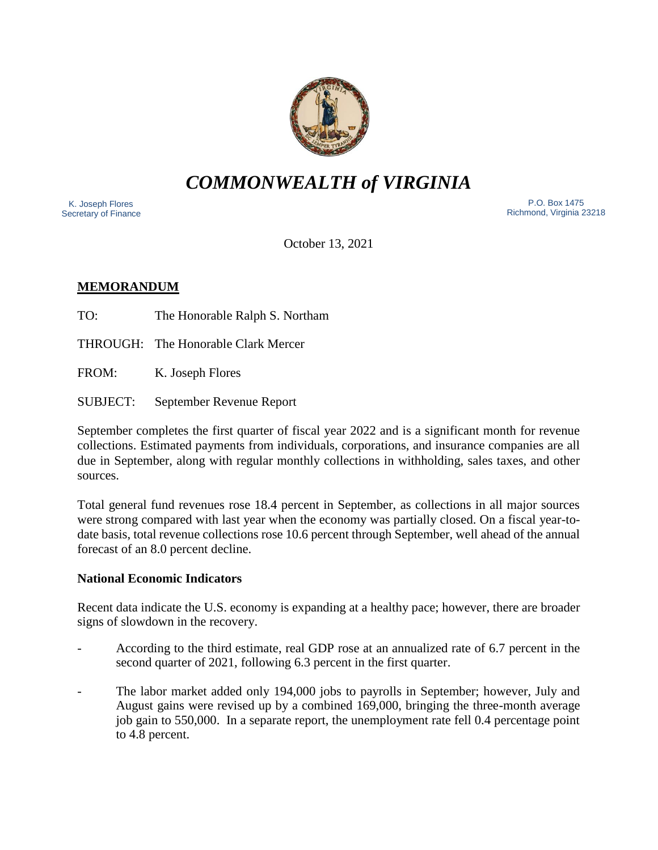

# *COMMONWEALTH of VIRGINIA*

 K. Joseph Flores Secretary of Finance

 P.O. Box 1475 Richmond, Virginia 23218

October 13, 2021

## **MEMORANDUM**

TO: The Honorable Ralph S. Northam

THROUGH: The Honorable Clark Mercer

FROM: K. Joseph Flores

SUBJECT: September Revenue Report

September completes the first quarter of fiscal year 2022 and is a significant month for revenue collections. Estimated payments from individuals, corporations, and insurance companies are all due in September, along with regular monthly collections in withholding, sales taxes, and other sources.

Total general fund revenues rose 18.4 percent in September, as collections in all major sources were strong compared with last year when the economy was partially closed. On a fiscal year-todate basis, total revenue collections rose 10.6 percent through September, well ahead of the annual forecast of an 8.0 percent decline.

## **National Economic Indicators**

Recent data indicate the U.S. economy is expanding at a healthy pace; however, there are broader signs of slowdown in the recovery.

- According to the third estimate, real GDP rose at an annualized rate of 6.7 percent in the second quarter of 2021, following 6.3 percent in the first quarter.
- The labor market added only 194,000 jobs to payrolls in September; however, July and August gains were revised up by a combined 169,000, bringing the three-month average job gain to 550,000. In a separate report, the unemployment rate fell 0.4 percentage point to 4.8 percent.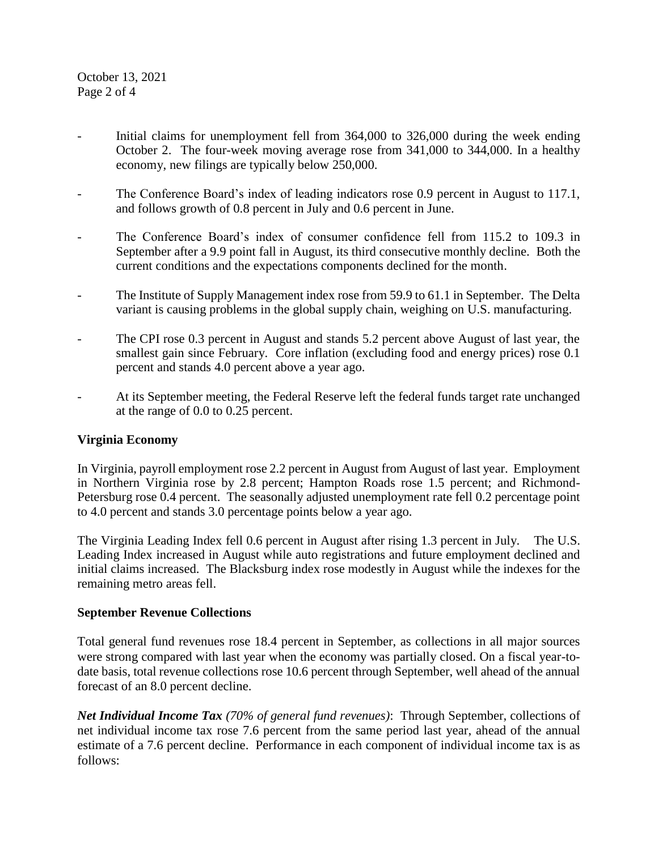October 13, 2021 Page 2 of 4

- Initial claims for unemployment fell from 364,000 to 326,000 during the week ending October 2. The four-week moving average rose from 341,000 to 344,000. In a healthy economy, new filings are typically below 250,000.
- The Conference Board's index of leading indicators rose 0.9 percent in August to 117.1, and follows growth of 0.8 percent in July and 0.6 percent in June.
- The Conference Board's index of consumer confidence fell from 115.2 to 109.3 in September after a 9.9 point fall in August, its third consecutive monthly decline. Both the current conditions and the expectations components declined for the month.
- The Institute of Supply Management index rose from 59.9 to 61.1 in September. The Delta variant is causing problems in the global supply chain, weighing on U.S. manufacturing.
- The CPI rose 0.3 percent in August and stands 5.2 percent above August of last year, the smallest gain since February. Core inflation (excluding food and energy prices) rose 0.1 percent and stands 4.0 percent above a year ago.
- At its September meeting, the Federal Reserve left the federal funds target rate unchanged at the range of 0.0 to 0.25 percent.

#### **Virginia Economy**

In Virginia, payroll employment rose 2.2 percent in August from August of last year. Employment in Northern Virginia rose by 2.8 percent; Hampton Roads rose 1.5 percent; and Richmond-Petersburg rose 0.4 percent. The seasonally adjusted unemployment rate fell 0.2 percentage point to 4.0 percent and stands 3.0 percentage points below a year ago.

The Virginia Leading Index fell 0.6 percent in August after rising 1.3 percent in July. The U.S. Leading Index increased in August while auto registrations and future employment declined and initial claims increased. The Blacksburg index rose modestly in August while the indexes for the remaining metro areas fell.

#### **September Revenue Collections**

Total general fund revenues rose 18.4 percent in September, as collections in all major sources were strong compared with last year when the economy was partially closed. On a fiscal year-todate basis, total revenue collections rose 10.6 percent through September, well ahead of the annual forecast of an 8.0 percent decline.

*Net Individual Income Tax (70% of general fund revenues)*: Through September, collections of net individual income tax rose 7.6 percent from the same period last year, ahead of the annual estimate of a 7.6 percent decline. Performance in each component of individual income tax is as follows: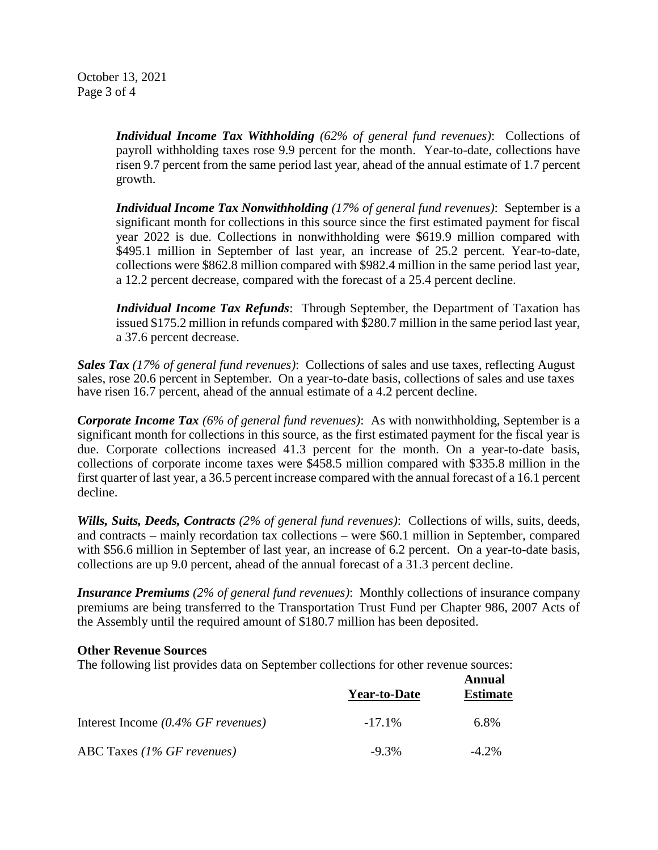October 13, 2021 Page 3 of 4

> *Individual Income Tax Withholding (62% of general fund revenues)*: Collections of payroll withholding taxes rose 9.9 percent for the month. Year-to-date, collections have risen 9.7 percent from the same period last year, ahead of the annual estimate of 1.7 percent growth.

> *Individual Income Tax Nonwithholding (17% of general fund revenues)*: September is a significant month for collections in this source since the first estimated payment for fiscal year 2022 is due. Collections in nonwithholding were \$619.9 million compared with \$495.1 million in September of last year, an increase of 25.2 percent. Year-to-date, collections were \$862.8 million compared with \$982.4 million in the same period last year, a 12.2 percent decrease, compared with the forecast of a 25.4 percent decline.

> *Individual Income Tax Refunds*: Through September, the Department of Taxation has issued \$175.2 million in refunds compared with \$280.7 million in the same period last year, a 37.6 percent decrease.

*Sales Tax (17% of general fund revenues)*: Collections of sales and use taxes, reflecting August sales, rose 20.6 percent in September. On a year-to-date basis, collections of sales and use taxes have risen 16.7 percent, ahead of the annual estimate of a 4.2 percent decline.

*Corporate Income Tax (6% of general fund revenues)*: As with nonwithholding, September is a significant month for collections in this source, as the first estimated payment for the fiscal year is due. Corporate collections increased 41.3 percent for the month. On a year-to-date basis, collections of corporate income taxes were \$458.5 million compared with \$335.8 million in the first quarter of last year, a 36.5 percent increase compared with the annual forecast of a 16.1 percent decline.

*Wills, Suits, Deeds, Contracts (2% of general fund revenues)*: Collections of wills, suits, deeds, and contracts – mainly recordation tax collections – were \$60.1 million in September, compared with \$56.6 million in September of last year, an increase of 6.2 percent. On a year-to-date basis, collections are up 9.0 percent, ahead of the annual forecast of a 31.3 percent decline.

*Insurance Premiums (2% of general fund revenues)*: Monthly collections of insurance company premiums are being transferred to the Transportation Trust Fund per Chapter 986, 2007 Acts of the Assembly until the required amount of \$180.7 million has been deposited.

#### **Other Revenue Sources**

The following list provides data on September collections for other revenue sources:

|                                               | <b>Year-to-Date</b> | Annual<br><b>Estimate</b> |
|-----------------------------------------------|---------------------|---------------------------|
| Interest Income $(0.4\% \text{ GF}$ revenues) | $-17.1\%$           | 6.8%                      |
| ABC Taxes $(1\%$ GF revenues)                 | $-9.3\%$            | $-4.2\%$                  |